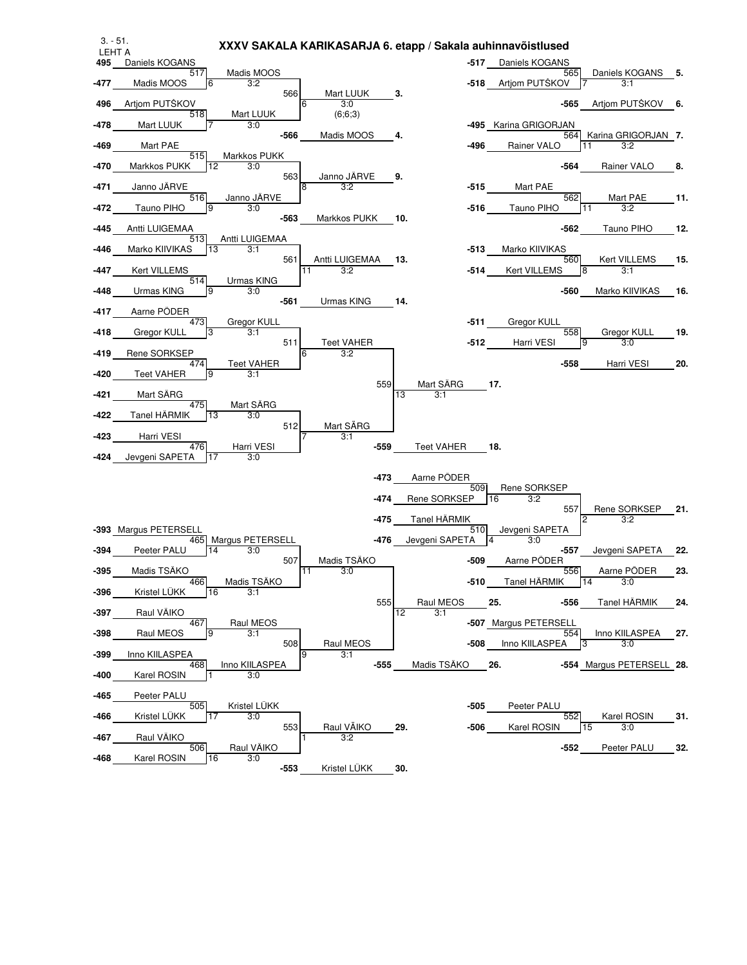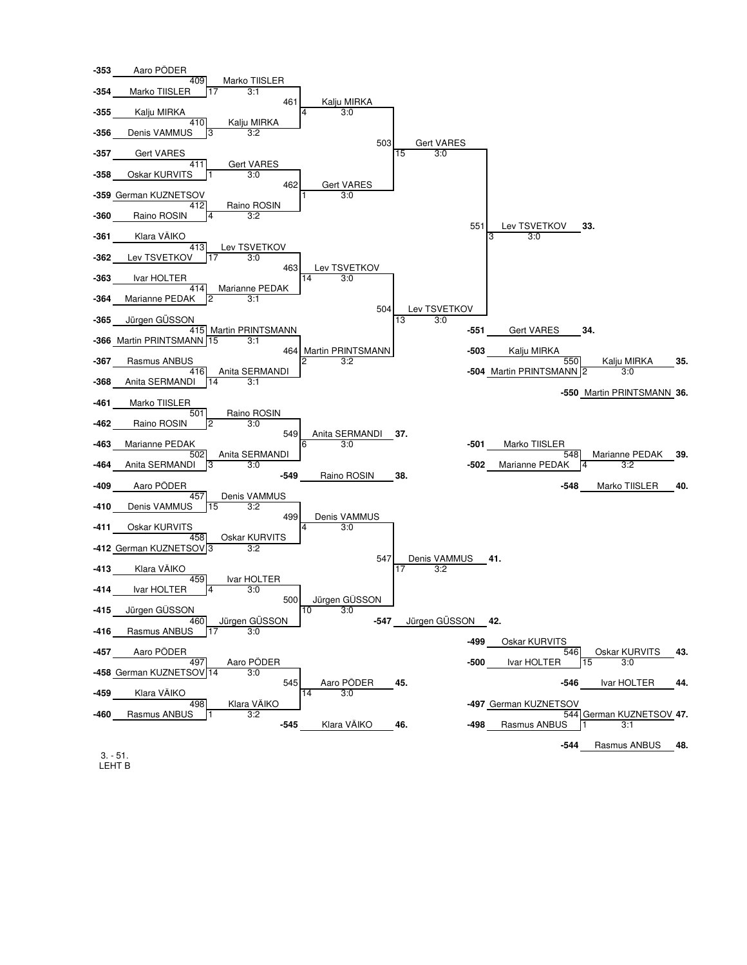

3. - 51. LEHT B